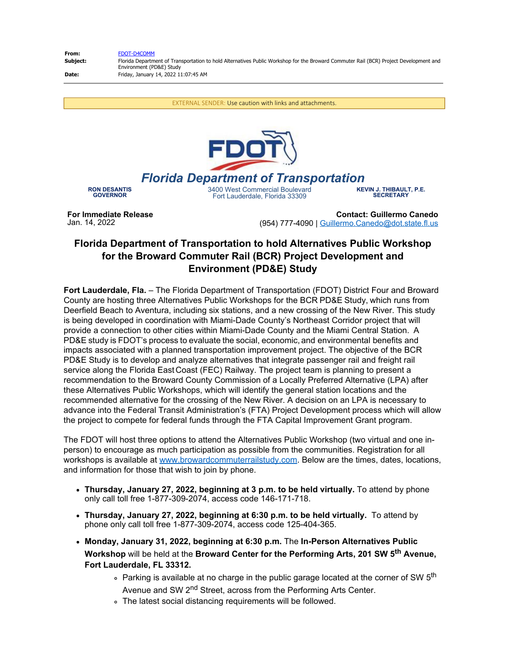| From:    | FDOT-D4COMM                                                                                                                                                       |
|----------|-------------------------------------------------------------------------------------------------------------------------------------------------------------------|
| Subiect: | Florida Department of Transportation to hold Alternatives Public Workshop for the Broward Commuter Rail (BCR) Project Development and<br>Environment (PD&E) Study |
| Date:    | Friday, January 14, 2022 11:07:45 AM                                                                                                                              |

EXTERNAL SENDER: Use caution with links and attachments.



## *Florida Department of Transportation*

**RON DESANTIS GOVERNOR**

3400 West Commercial Boulevard Fort Lauderdale, Florida 33309

**KEVIN J. THIBAULT, P.E. SECRETARY**

**For Immediate Release** Jan. 14, 2022

**Contact: Guillermo Canedo** (954) 777-4090 | [Guillermo.Canedo@dot.state.fl.us](mailto:Guillermo.Canedo@dot.state.fl.us)

## **Florida Department of Transportation to hold Alternatives Public Workshop for the Broward Commuter Rail (BCR) Project Development and Environment (PD&E) Study**

**Fort Lauderdale, Fla.** – The Florida Department of Transportation (FDOT) District Four and Broward County are hosting three Alternatives Public Workshops for the BCR PD&E Study, which runs from Deerfield Beach to Aventura, including six stations, and a new crossing of the New River. This study is being developed in coordination with Miami-Dade County's Northeast Corridor project that will provide a connection to other cities within Miami-Dade County and the Miami Central Station. A PD&E study is FDOT's process to evaluate the social, economic, and environmental benefits and impacts associated with a planned transportation improvement project. The objective of the BCR PD&E Study is to develop and analyze alternatives that integrate passenger rail and freight rail service along the Florida East Coast (FEC) Railway. The project team is planning to present a recommendation to the Broward County Commission of a Locally Preferred Alternative (LPA) after these Alternatives Public Workshops, which will identify the general station locations and the recommended alternative for the crossing of the New River. A decision on an LPA is necessary to advance into the Federal Transit Administration's (FTA) Project Development process which will allow the project to compete for federal funds through the FTA Capital Improvement Grant program.

The FDOT will host three options to attend the Alternatives Public Workshop (two virtual and one inperson) to encourage as much participation as possible from the communities. Registration for all workshops is available at [www.browardcommuterrailstudy.com](https://nam12.safelinks.protection.outlook.com/?url=http%3A%2F%2Fwww.browardcommuterrailstudy.com%2F&data=04%7C01%7Clhatchell%40mrgmiami.com%7Cc90375916c544b973aba08d9d7774c92%7Ce949d040c76b4f1781ac897d2dd77b3a%7C0%7C0%7C637777732644712920%7CUnknown%7CTWFpbGZsb3d8eyJWIjoiMC4wLjAwMDAiLCJQIjoiV2luMzIiLCJBTiI6Ik1haWwiLCJXVCI6Mn0%3D%7C3000&sdata=iXwznel1DShL5g%2FFVy0kijYigaEzfg89vSRMXVjzB7E%3D&reserved=0). Below are the times, dates, locations, and information for those that wish to join by phone.

- **Thursday, January 27, 2022, beginning at 3 p.m. to be held virtually.** To attend by phone only call toll free 1-877-309-2074, access code 146-171-718.
- **Thursday, January 27, 2022, beginning at 6:30 p.m. to be held virtually.** To attend by phone only call toll free 1-877-309-2074, access code 125-404-365.
- **Monday, January 31, 2022, beginning at 6:30 p.m.** The **In-Person Alternatives Public Workshop** will be held at the **Broward Center for the Performing Arts, 201 SW 5th Avenue, Fort Lauderdale, FL 33312.**
	- $\circ$  Parking is available at no charge in the public garage located at the corner of SW 5<sup>th</sup> Avenue and SW 2<sup>nd</sup> Street, across from the Performing Arts Center.
	- The latest social distancing requirements will be followed.